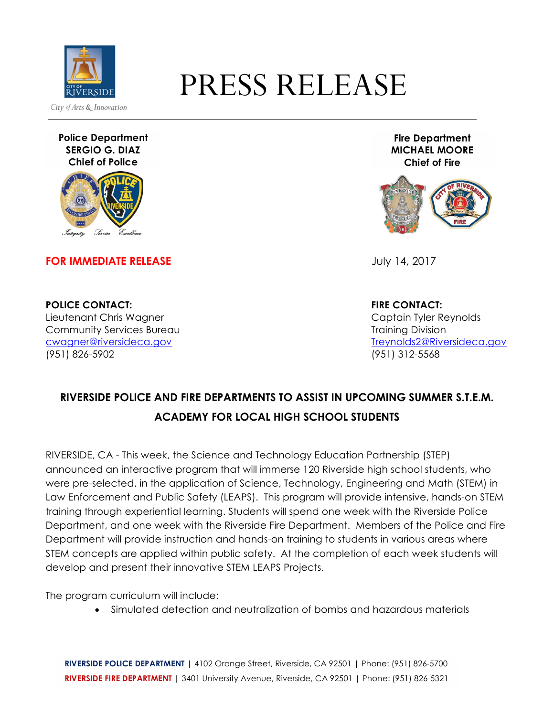

## PRESS RELEASE

**Police Department SERGIO G. DIAZ Chief of Police**



**FOR IMMEDIATE RELEASE Service Service Service Service Service Service Service Service Service Service Service Service Service Service Service Service Service Service Service Service Service Service Service Service Servi** 

**Fire Department MICHAEL MOORE Chief of Fire**



**POLICE CONTACT: FIRE CONTACT:** Lieutenant Chris Wagner Captain Tyler Reynolds Community Services Bureau Training Division (951) 826-5902 (951) 312-5568

cwagner@riversideca.gov Treynolds2@Riversideca.gov

## **RIVERSIDE POLICE AND FIRE DEPARTMENTS TO ASSIST IN UPCOMING SUMMER S.T.E.M. ACADEMY FOR LOCAL HIGH SCHOOL STUDENTS**

RIVERSIDE, CA - This week, the Science and Technology Education Partnership (STEP) announced an interactive program that will immerse 120 Riverside high school students, who were pre-selected, in the application of Science, Technology, Engineering and Math (STEM) in Law Enforcement and Public Safety (LEAPS). This program will provide intensive, hands-on STEM training through experiential learning. Students will spend one week with the Riverside Police Department, and one week with the Riverside Fire Department. Members of the Police and Fire Department will provide instruction and hands-on training to students in various areas where STEM concepts are applied within public safety. At the completion of each week students will develop and present their innovative STEM LEAPS Projects.

The program curriculum will include:

• Simulated detection and neutralization of bombs and hazardous materials

**RIVERSIDE POLICE DEPARTMENT** | 4102 Orange Street, Riverside, CA 92501 | Phone: (951) 826-5700 **RIVERSIDE FIRE DEPARTMENT** | 3401 University Avenue, Riverside, CA 92501 | Phone: (951) 826-5321